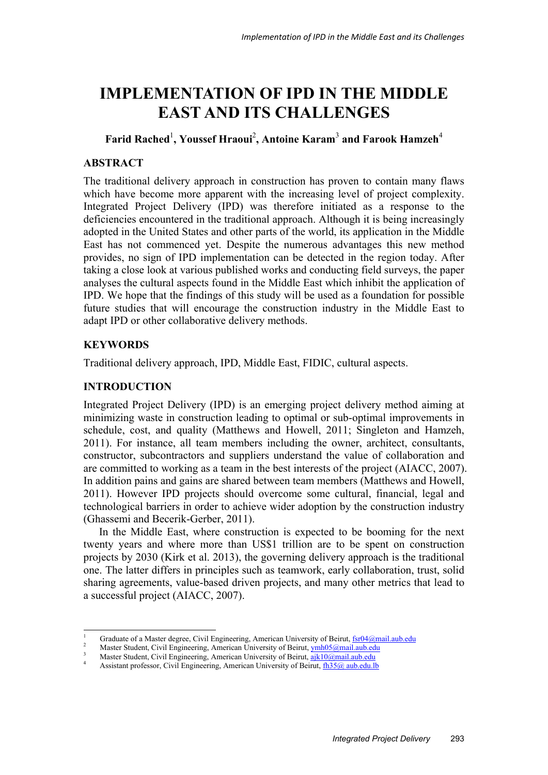# **IMPLEMENTATION OF IPD IN THE MIDDLE EAST AND ITS CHALLENGES**

# **Farid Rached**<sup>1</sup> **, Youssef Hraoui**<sup>2</sup> **, Antoine Karam**<sup>3</sup>  **and Farook Hamzeh**<sup>4</sup>

# **ABSTRACT**

The traditional delivery approach in construction has proven to contain many flaws which have become more apparent with the increasing level of project complexity. Integrated Project Delivery (IPD) was therefore initiated as a response to the deficiencies encountered in the traditional approach. Although it is being increasingly adopted in the United States and other parts of the world, its application in the Middle East has not commenced yet. Despite the numerous advantages this new method provides, no sign of IPD implementation can be detected in the region today. After taking a close look at various published works and conducting field surveys, the paper analyses the cultural aspects found in the Middle East which inhibit the application of IPD. We hope that the findings of this study will be used as a foundation for possible future studies that will encourage the construction industry in the Middle East to adapt IPD or other collaborative delivery methods.

# **KEYWORDS**

Traditional delivery approach, IPD, Middle East, FIDIC, cultural aspects.

# **INTRODUCTION**

Integrated Project Delivery (IPD) is an emerging project delivery method aiming at minimizing waste in construction leading to optimal or sub-optimal improvements in schedule, cost, and quality (Matthews and Howell, 2011; Singleton and Hamzeh, 2011). For instance, all team members including the owner, architect, consultants, constructor, subcontractors and suppliers understand the value of collaboration and are committed to working as a team in the best interests of the project (AIACC, 2007). In addition pains and gains are shared between team members (Matthews and Howell, 2011). However IPD projects should overcome some cultural, financial, legal and technological barriers in order to achieve wider adoption by the construction industry (Ghassemi and Becerik-Gerber, 2011).

In the Middle East, where construction is expected to be booming for the next twenty years and where more than US\$1 trillion are to be spent on construction projects by 2030 (Kirk et al. 2013), the governing delivery approach is the traditional one. The latter differs in principles such as teamwork, early collaboration, trust, solid sharing agreements, value-based driven projects, and many other metrics that lead to a successful project (AIACC, 2007).

<sup>-</sup>1 Graduate of a Master degree, Civil Engineering, American University of Beirut,  $\frac{fsr04@mail.au.b.edu}{s2}$ 

Master Student, Civil Engineering, American University of Beirut, ymh05@mail.aub.edu

Master Student, Civil Engineering, American University of Beirut,  $a$ jk10@mail.aub.edu

Assistant professor, Civil Engineering, American University of Beirut, fh35@ aub.edu.lb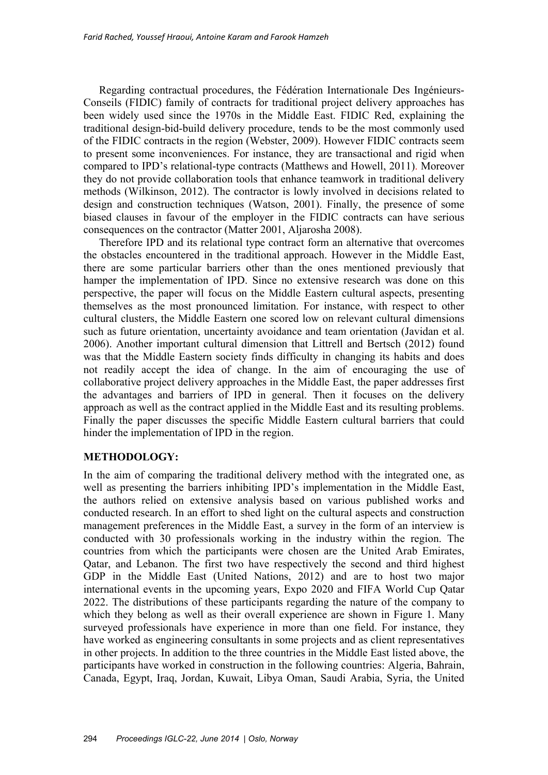Regarding contractual procedures, the Fédération Internationale Des Ingénieurs-Conseils (FIDIC) family of contracts for traditional project delivery approaches has been widely used since the 1970s in the Middle East. FIDIC Red, explaining the traditional design-bid-build delivery procedure, tends to be the most commonly used of the FIDIC contracts in the region (Webster, 2009). However FIDIC contracts seem to present some inconveniences. For instance, they are transactional and rigid when compared to IPD's relational-type contracts (Matthews and Howell, 2011). Moreover they do not provide collaboration tools that enhance teamwork in traditional delivery methods (Wilkinson, 2012). The contractor is lowly involved in decisions related to design and construction techniques (Watson, 2001). Finally, the presence of some biased clauses in favour of the employer in the FIDIC contracts can have serious consequences on the contractor (Matter 2001, Aljarosha 2008).

Therefore IPD and its relational type contract form an alternative that overcomes the obstacles encountered in the traditional approach. However in the Middle East, there are some particular barriers other than the ones mentioned previously that hamper the implementation of IPD. Since no extensive research was done on this perspective, the paper will focus on the Middle Eastern cultural aspects, presenting themselves as the most pronounced limitation. For instance, with respect to other cultural clusters, the Middle Eastern one scored low on relevant cultural dimensions such as future orientation, uncertainty avoidance and team orientation (Javidan et al. 2006). Another important cultural dimension that Littrell and Bertsch (2012) found was that the Middle Eastern society finds difficulty in changing its habits and does not readily accept the idea of change. In the aim of encouraging the use of collaborative project delivery approaches in the Middle East, the paper addresses first the advantages and barriers of IPD in general. Then it focuses on the delivery approach as well as the contract applied in the Middle East and its resulting problems. Finally the paper discusses the specific Middle Eastern cultural barriers that could hinder the implementation of IPD in the region.

# **METHODOLOGY:**

In the aim of comparing the traditional delivery method with the integrated one, as well as presenting the barriers inhibiting IPD's implementation in the Middle East, the authors relied on extensive analysis based on various published works and conducted research. In an effort to shed light on the cultural aspects and construction management preferences in the Middle East, a survey in the form of an interview is conducted with 30 professionals working in the industry within the region. The countries from which the participants were chosen are the United Arab Emirates, Qatar, and Lebanon. The first two have respectively the second and third highest GDP in the Middle East (United Nations, 2012) and are to host two major international events in the upcoming years, Expo 2020 and FIFA World Cup Qatar 2022. The distributions of these participants regarding the nature of the company to which they belong as well as their overall experience are shown in Figure 1. Many surveyed professionals have experience in more than one field. For instance, they have worked as engineering consultants in some projects and as client representatives in other projects. In addition to the three countries in the Middle East listed above, the participants have worked in construction in the following countries: Algeria, Bahrain, Canada, Egypt, Iraq, Jordan, Kuwait, Libya Oman, Saudi Arabia, Syria, the United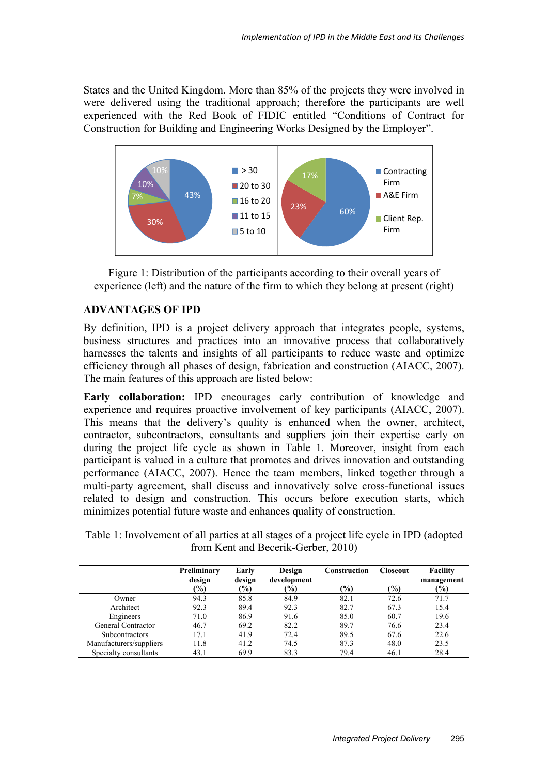States and the United Kingdom. More than 85% of the projects they were involved in were delivered using the traditional approach; therefore the participants are well experienced with the Red Book of FIDIC entitled "Conditions of Contract for Construction for Building and Engineering Works Designed by the Employer".



Figure 1: Distribution of the participants according to their overall years of experience (left) and the nature of the firm to which they belong at present (right)

# **ADVANTAGES OF IPD**

By definition, IPD is a project delivery approach that integrates people, systems, business structures and practices into an innovative process that collaboratively harnesses the talents and insights of all participants to reduce waste and optimize efficiency through all phases of design, fabrication and construction (AIACC, 2007). The main features of this approach are listed below:

**Early collaboration:** IPD encourages early contribution of knowledge and experience and requires proactive involvement of key participants (AIACC, 2007). This means that the delivery's quality is enhanced when the owner, architect, contractor, subcontractors, consultants and suppliers join their expertise early on during the project life cycle as shown in Table 1. Moreover, insight from each participant is valued in a culture that promotes and drives innovation and outstanding performance (AIACC, 2007). Hence the team members, linked together through a multi-party agreement, shall discuss and innovatively solve cross-functional issues related to design and construction. This occurs before execution starts, which minimizes potential future waste and enhances quality of construction.

Table 1: Involvement of all parties at all stages of a project life cycle in IPD (adopted from Kent and Becerik-Gerber, 2010)

|                         | Preliminary<br>design | Early<br>design | Design<br>development | Construction  | Closeout      | <b>Facility</b><br>management |
|-------------------------|-----------------------|-----------------|-----------------------|---------------|---------------|-------------------------------|
|                         | $(\%)$                | $(\%)$          | (%)                   | $\frac{6}{2}$ | $\frac{9}{0}$ | $(\%)$                        |
| Owner                   | 94.3                  | 85.8            | 84.9                  | 82.1          | 72.6          | 71.7                          |
| Architect               | 92.3                  | 89.4            | 92.3                  | 82.7          | 67.3          | 15.4                          |
| Engineers               | 71.0                  | 86.9            | 91.6                  | 85.0          | 60.7          | 19.6                          |
| General Contractor      | 46.7                  | 69.2            | 82.2                  | 89.7          | 76.6          | 23.4                          |
| <b>Subcontractors</b>   | 17.1                  | 41.9            | 72.4                  | 89.5          | 67.6          | 22.6                          |
| Manufacturers/suppliers | 11.8                  | 41.2            | 74.5                  | 87.3          | 48.0          | 23.5                          |
| Specialty consultants   | 43.1                  | 69.9            | 83.3                  | 79.4          | 46.1          | 28.4                          |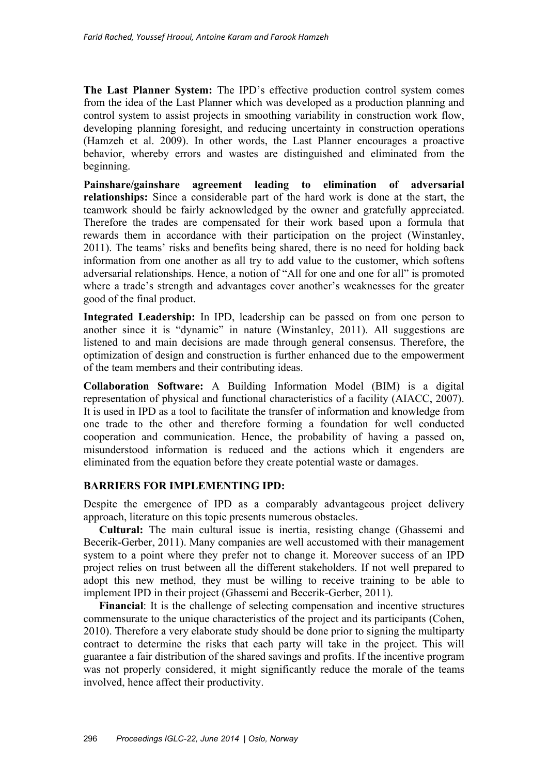**The Last Planner System:** The IPD's effective production control system comes from the idea of the Last Planner which was developed as a production planning and control system to assist projects in smoothing variability in construction work flow, developing planning foresight, and reducing uncertainty in construction operations (Hamzeh et al. 2009). In other words, the Last Planner encourages a proactive behavior, whereby errors and wastes are distinguished and eliminated from the beginning.

**Painshare/gainshare agreement leading to elimination of adversarial relationships:** Since a considerable part of the hard work is done at the start, the teamwork should be fairly acknowledged by the owner and gratefully appreciated. Therefore the trades are compensated for their work based upon a formula that rewards them in accordance with their participation on the project (Winstanley, 2011). The teams' risks and benefits being shared, there is no need for holding back information from one another as all try to add value to the customer, which softens adversarial relationships. Hence, a notion of "All for one and one for all" is promoted where a trade's strength and advantages cover another's weaknesses for the greater good of the final product.

**Integrated Leadership:** In IPD, leadership can be passed on from one person to another since it is "dynamic" in nature (Winstanley, 2011). All suggestions are listened to and main decisions are made through general consensus. Therefore, the optimization of design and construction is further enhanced due to the empowerment of the team members and their contributing ideas.

**Collaboration Software:** A Building Information Model (BIM) is a digital representation of physical and functional characteristics of a facility (AIACC, 2007). It is used in IPD as a tool to facilitate the transfer of information and knowledge from one trade to the other and therefore forming a foundation for well conducted cooperation and communication. Hence, the probability of having a passed on, misunderstood information is reduced and the actions which it engenders are eliminated from the equation before they create potential waste or damages.

# **BARRIERS FOR IMPLEMENTING IPD:**

Despite the emergence of IPD as a comparably advantageous project delivery approach, literature on this topic presents numerous obstacles.

**Cultural:** The main cultural issue is inertia, resisting change (Ghassemi and Becerik-Gerber, 2011). Many companies are well accustomed with their management system to a point where they prefer not to change it. Moreover success of an IPD project relies on trust between all the different stakeholders. If not well prepared to adopt this new method, they must be willing to receive training to be able to implement IPD in their project (Ghassemi and Becerik-Gerber, 2011).

**Financial**: It is the challenge of selecting compensation and incentive structures commensurate to the unique characteristics of the project and its participants (Cohen, 2010). Therefore a very elaborate study should be done prior to signing the multiparty contract to determine the risks that each party will take in the project. This will guarantee a fair distribution of the shared savings and profits. If the incentive program was not properly considered, it might significantly reduce the morale of the teams involved, hence affect their productivity.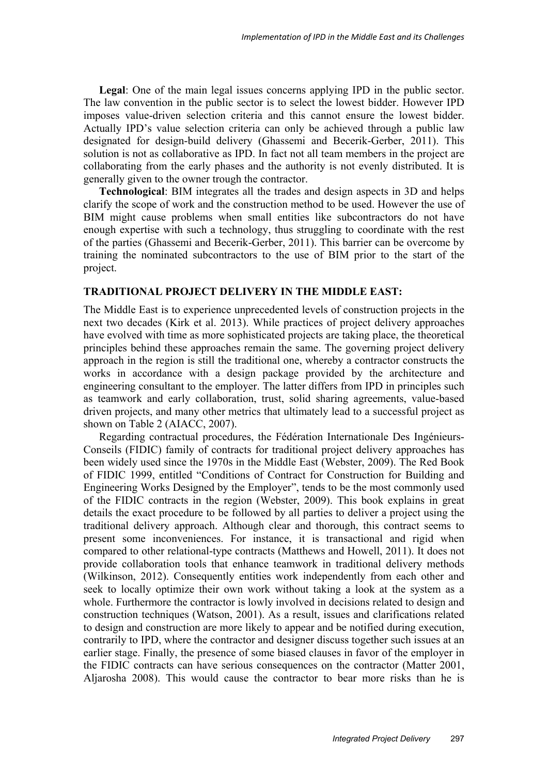**Legal**: One of the main legal issues concerns applying IPD in the public sector. The law convention in the public sector is to select the lowest bidder. However IPD imposes value-driven selection criteria and this cannot ensure the lowest bidder. Actually IPD's value selection criteria can only be achieved through a public law designated for design-build delivery (Ghassemi and Becerik-Gerber, 2011). This solution is not as collaborative as IPD. In fact not all team members in the project are collaborating from the early phases and the authority is not evenly distributed. It is generally given to the owner trough the contractor.

**Technological**: BIM integrates all the trades and design aspects in 3D and helps clarify the scope of work and the construction method to be used. However the use of BIM might cause problems when small entities like subcontractors do not have enough expertise with such a technology, thus struggling to coordinate with the rest of the parties (Ghassemi and Becerik-Gerber, 2011). This barrier can be overcome by training the nominated subcontractors to the use of BIM prior to the start of the project.

# **TRADITIONAL PROJECT DELIVERY IN THE MIDDLE EAST:**

The Middle East is to experience unprecedented levels of construction projects in the next two decades (Kirk et al. 2013). While practices of project delivery approaches have evolved with time as more sophisticated projects are taking place, the theoretical principles behind these approaches remain the same. The governing project delivery approach in the region is still the traditional one, whereby a contractor constructs the works in accordance with a design package provided by the architecture and engineering consultant to the employer. The latter differs from IPD in principles such as teamwork and early collaboration, trust, solid sharing agreements, value-based driven projects, and many other metrics that ultimately lead to a successful project as shown on Table 2 (AIACC, 2007).

Regarding contractual procedures, the Fédération Internationale Des Ingénieurs-Conseils (FIDIC) family of contracts for traditional project delivery approaches has been widely used since the 1970s in the Middle East (Webster, 2009). The Red Book of FIDIC 1999, entitled "Conditions of Contract for Construction for Building and Engineering Works Designed by the Employer", tends to be the most commonly used of the FIDIC contracts in the region (Webster, 2009). This book explains in great details the exact procedure to be followed by all parties to deliver a project using the traditional delivery approach. Although clear and thorough, this contract seems to present some inconveniences. For instance, it is transactional and rigid when compared to other relational-type contracts (Matthews and Howell, 2011). It does not provide collaboration tools that enhance teamwork in traditional delivery methods (Wilkinson, 2012). Consequently entities work independently from each other and seek to locally optimize their own work without taking a look at the system as a whole. Furthermore the contractor is lowly involved in decisions related to design and construction techniques (Watson, 2001). As a result, issues and clarifications related to design and construction are more likely to appear and be notified during execution, contrarily to IPD, where the contractor and designer discuss together such issues at an earlier stage. Finally, the presence of some biased clauses in favor of the employer in the FIDIC contracts can have serious consequences on the contractor (Matter 2001, Aljarosha 2008). This would cause the contractor to bear more risks than he is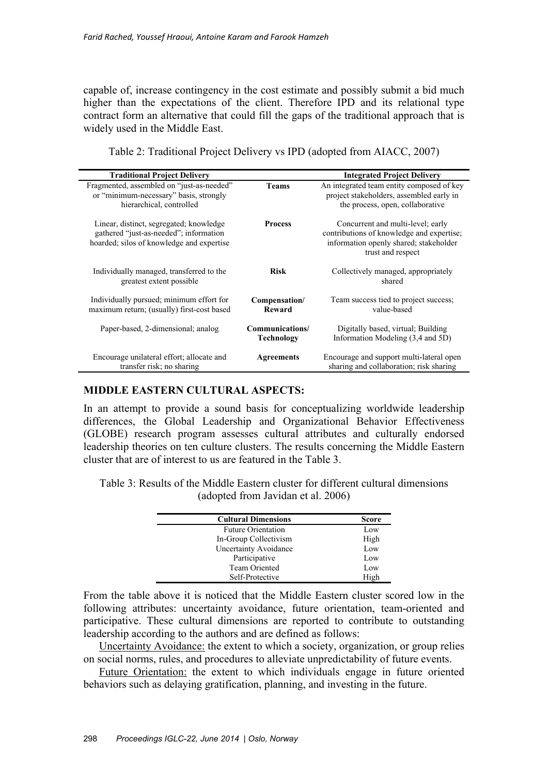capable of, increase contingency in the cost estimate and possibly submit a bid much higher than the expectations of the client. Therefore IPD and its relational type contract form an alternative that could fill the gaps of the traditional approach that is widely used in the Middle East.

| <b>Traditional Project Delivery</b>                                                 |                   | <b>Integrated Project Delivery</b>                                                    |  |  |
|-------------------------------------------------------------------------------------|-------------------|---------------------------------------------------------------------------------------|--|--|
| Fragmented, assembled on "just-as-needed"<br>or "minimum-necessary" basis, strongly | <b>Teams</b>      | An integrated team entity composed of key<br>project stakeholders, assembled early in |  |  |
| hierarchical, controlled                                                            |                   | the process, open, collaborative                                                      |  |  |
| Linear, distinct, segregated; knowledge                                             | <b>Process</b>    | Concurrent and multi-level; early                                                     |  |  |
| gathered "just-as-needed"; information<br>hoarded; silos of knowledge and expertise |                   | contributions of knowledge and expertise;<br>information openly shared; stakeholder   |  |  |
|                                                                                     |                   | trust and respect                                                                     |  |  |
| Individually managed, transferred to the                                            | <b>Risk</b>       | Collectively managed, appropriately                                                   |  |  |
| greatest extent possible                                                            |                   | shared                                                                                |  |  |
| Individually pursued; minimum effort for                                            | Compensation/     | Team success tied to project success;                                                 |  |  |
| maximum return; (usually) first-cost based                                          | Reward            | value-based                                                                           |  |  |
| Paper-based, 2-dimensional; analog                                                  | Communications/   | Digitally based, virtual; Building                                                    |  |  |
|                                                                                     | <b>Technology</b> | Information Modeling (3,4 and 5D)                                                     |  |  |
| Encourage unilateral effort; allocate and                                           | <b>Agreements</b> | Encourage and support multi-lateral open                                              |  |  |
| transfer risk; no sharing                                                           |                   | sharing and collaboration; risk sharing                                               |  |  |

Table 2: Traditional Project Delivery vs IPD (adopted from AIACC, 2007)

# **MIDDLE EASTERN CULTURAL ASPECTS:**

In an attempt to provide a sound basis for conceptualizing worldwide leadership differences, the Global Leadership and Organizational Behavior Effectiveness (GLOBE) research program assesses cultural attributes and culturally endorsed leadership theories on ten culture clusters. The results concerning the Middle Eastern cluster that are of interest to us are featured in the Table 3.

Table 3: Results of the Middle Eastern cluster for different cultural dimensions (adopted from Javidan et al. 2006)

| <b>Cultural Dimensions</b> | <b>Score</b> |
|----------------------------|--------------|
| <b>Future Orientation</b>  | Low          |
| In-Group Collectivism      | High         |
| Uncertainty Avoidance      | Low          |
| Participative              | Low          |
| <b>Team Oriented</b>       | Low          |
| Self-Protective            | High         |

From the table above it is noticed that the Middle Eastern cluster scored low in the following attributes: uncertainty avoidance, future orientation, team-oriented and participative. These cultural dimensions are reported to contribute to outstanding leadership according to the authors and are defined as follows:

Uncertainty Avoidance: the extent to which a society, organization, or group relies on social norms, rules, and procedures to alleviate unpredictability of future events.

Future Orientation: the extent to which individuals engage in future oriented behaviors such as delaying gratification, planning, and investing in the future.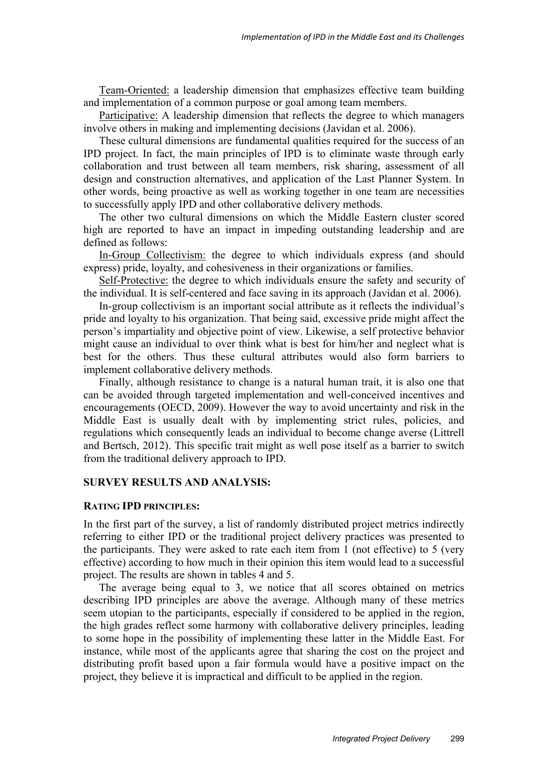Team-Oriented: a leadership dimension that emphasizes effective team building and implementation of a common purpose or goal among team members.

Participative: A leadership dimension that reflects the degree to which managers involve others in making and implementing decisions (Javidan et al. 2006).

These cultural dimensions are fundamental qualities required for the success of an IPD project. In fact, the main principles of IPD is to eliminate waste through early collaboration and trust between all team members, risk sharing, assessment of all design and construction alternatives, and application of the Last Planner System. In other words, being proactive as well as working together in one team are necessities to successfully apply IPD and other collaborative delivery methods.

The other two cultural dimensions on which the Middle Eastern cluster scored high are reported to have an impact in impeding outstanding leadership and are defined as follows:

In-Group Collectivism: the degree to which individuals express (and should express) pride, loyalty, and cohesiveness in their organizations or families.

Self-Protective: the degree to which individuals ensure the safety and security of the individual. It is self-centered and face saving in its approach (Javidan et al. 2006).

In-group collectivism is an important social attribute as it reflects the individual's pride and loyalty to his organization. That being said, excessive pride might affect the person's impartiality and objective point of view. Likewise, a self protective behavior might cause an individual to over think what is best for him/her and neglect what is best for the others. Thus these cultural attributes would also form barriers to implement collaborative delivery methods.

Finally, although resistance to change is a natural human trait, it is also one that can be avoided through targeted implementation and well-conceived incentives and encouragements (OECD, 2009). However the way to avoid uncertainty and risk in the Middle East is usually dealt with by implementing strict rules, policies, and regulations which consequently leads an individual to become change averse (Littrell and Bertsch, 2012). This specific trait might as well pose itself as a barrier to switch from the traditional delivery approach to IPD.

#### **SURVEY RESULTS AND ANALYSIS:**

#### **RATING IPD PRINCIPLES:**

In the first part of the survey, a list of randomly distributed project metrics indirectly referring to either IPD or the traditional project delivery practices was presented to the participants. They were asked to rate each item from 1 (not effective) to 5 (very effective) according to how much in their opinion this item would lead to a successful project. The results are shown in tables 4 and 5.

The average being equal to 3, we notice that all scores obtained on metrics describing IPD principles are above the average. Although many of these metrics seem utopian to the participants, especially if considered to be applied in the region, the high grades reflect some harmony with collaborative delivery principles, leading to some hope in the possibility of implementing these latter in the Middle East. For instance, while most of the applicants agree that sharing the cost on the project and distributing profit based upon a fair formula would have a positive impact on the project, they believe it is impractical and difficult to be applied in the region.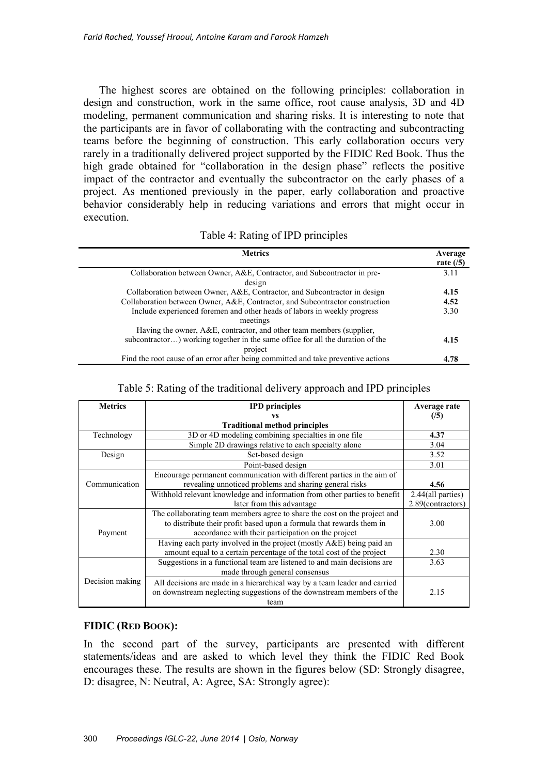The highest scores are obtained on the following principles: collaboration in design and construction, work in the same office, root cause analysis, 3D and 4D modeling, permanent communication and sharing risks. It is interesting to note that the participants are in favor of collaborating with the contracting and subcontracting teams before the beginning of construction. This early collaboration occurs very rarely in a traditionally delivered project supported by the FIDIC Red Book. Thus the high grade obtained for "collaboration in the design phase" reflects the positive impact of the contractor and eventually the subcontractor on the early phases of a project. As mentioned previously in the paper, early collaboration and proactive behavior considerably help in reducing variations and errors that might occur in execution.

| <b>Metrics</b>                                                                    | Average     |
|-----------------------------------------------------------------------------------|-------------|
|                                                                                   | rate $(15)$ |
| Collaboration between Owner, A&E, Contractor, and Subcontractor in pre-           | 3.11        |
| design                                                                            |             |
| Collaboration between Owner, A&E, Contractor, and Subcontractor in design         | 4.15        |
| Collaboration between Owner, A&E, Contractor, and Subcontractor construction      | 4.52        |
| Include experienced foremen and other heads of labors in weekly progress          | 3.30        |
| meetings                                                                          |             |
| Having the owner, A&E, contractor, and other team members (supplier,              |             |
| subcontractor) working together in the same office for all the duration of the    | 4.15        |
| project                                                                           |             |
| Find the root cause of an error after being committed and take preventive actions | 4.78        |

### Table 5: Rating of the traditional delivery approach and IPD principles

| <b>Metrics</b>  | <b>IPD</b> principles                                                     | Average rate      |
|-----------------|---------------------------------------------------------------------------|-------------------|
|                 | VS                                                                        | (15)              |
|                 | <b>Traditional method principles</b>                                      |                   |
| Technology      | 3D or 4D modeling combining specialties in one file                       | 4.37              |
|                 | Simple 2D drawings relative to each specialty alone                       | 3.04              |
| Design          | Set-based design                                                          | 3.52              |
|                 | Point-based design                                                        | 3.01              |
| Communication   | Encourage permanent communication with different parties in the aim of    |                   |
|                 | revealing unnoticed problems and sharing general risks                    | 4.56              |
|                 | Withhold relevant knowledge and information from other parties to benefit | 2.44(all parties) |
|                 | later from this advantage                                                 | 2.89(contractors) |
| Payment         | The collaborating team members agree to share the cost on the project and |                   |
|                 | to distribute their profit based upon a formula that rewards them in      | 3.00              |
|                 | accordance with their participation on the project                        |                   |
|                 | Having each party involved in the project (mostly A&E) being paid an      |                   |
|                 | amount equal to a certain percentage of the total cost of the project     | 2.30              |
| Decision making | Suggestions in a functional team are listened to and main decisions are   | 3.63              |
|                 | made through general consensus                                            |                   |
|                 | All decisions are made in a hierarchical way by a team leader and carried |                   |
|                 | on downstream neglecting suggestions of the downstream members of the     | 2.15              |
|                 | team                                                                      |                   |

# **FIDIC (RED BOOK):**

In the second part of the survey, participants are presented with different statements/ideas and are asked to which level they think the FIDIC Red Book encourages these. The results are shown in the figures below (SD: Strongly disagree, D: disagree, N: Neutral, A: Agree, SA: Strongly agree):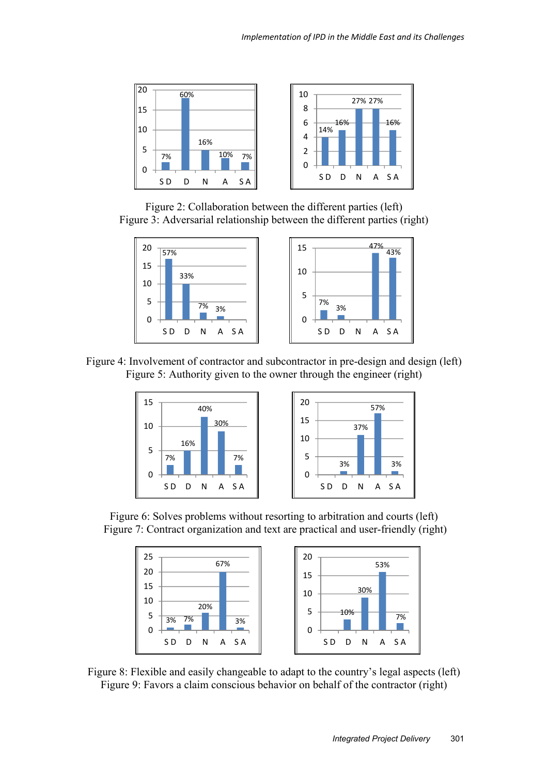

Figure 2: Collaboration between the different parties (left) Figure 3: Adversarial relationship between the different parties (right)



Figure 4: Involvement of contractor and subcontractor in pre-design and design (left) Figure 5: Authority given to the owner through the engineer (right)



Figure 6: Solves problems without resorting to arbitration and courts (left) Figure 7: Contract organization and text are practical and user-friendly (right)



Figure 8: Flexible and easily changeable to adapt to the country's legal aspects (left) Figure 9: Favors a claim conscious behavior on behalf of the contractor (right)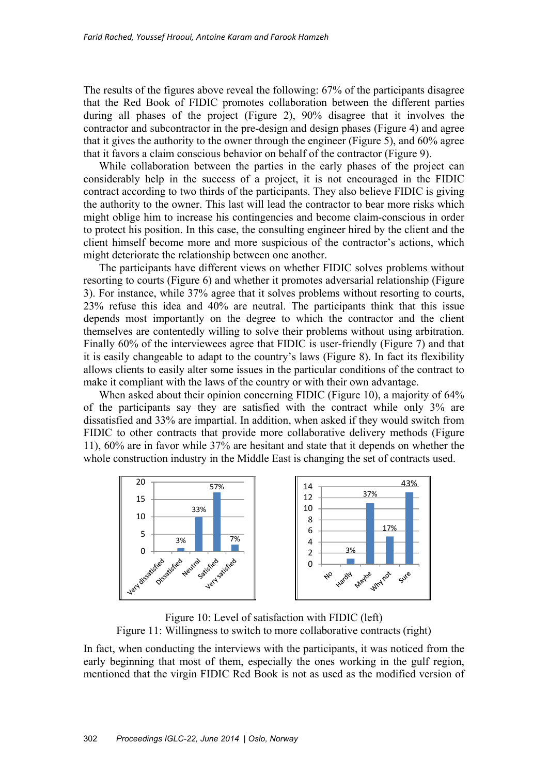The results of the figures above reveal the following: 67% of the participants disagree that the Red Book of FIDIC promotes collaboration between the different parties during all phases of the project (Figure 2), 90% disagree that it involves the contractor and subcontractor in the pre-design and design phases (Figure 4) and agree that it gives the authority to the owner through the engineer (Figure 5), and 60% agree that it favors a claim conscious behavior on behalf of the contractor (Figure 9).

While collaboration between the parties in the early phases of the project can considerably help in the success of a project, it is not encouraged in the FIDIC contract according to two thirds of the participants. They also believe FIDIC is giving the authority to the owner. This last will lead the contractor to bear more risks which might oblige him to increase his contingencies and become claim-conscious in order to protect his position. In this case, the consulting engineer hired by the client and the client himself become more and more suspicious of the contractor's actions, which might deteriorate the relationship between one another.

The participants have different views on whether FIDIC solves problems without resorting to courts (Figure 6) and whether it promotes adversarial relationship (Figure 3). For instance, while 37% agree that it solves problems without resorting to courts, 23% refuse this idea and 40% are neutral. The participants think that this issue depends most importantly on the degree to which the contractor and the client themselves are contentedly willing to solve their problems without using arbitration. Finally 60% of the interviewees agree that FIDIC is user-friendly (Figure 7) and that it is easily changeable to adapt to the country's laws (Figure 8). In fact its flexibility allows clients to easily alter some issues in the particular conditions of the contract to make it compliant with the laws of the country or with their own advantage.

When asked about their opinion concerning FIDIC (Figure 10), a majority of 64% of the participants say they are satisfied with the contract while only 3% are dissatisfied and 33% are impartial. In addition, when asked if they would switch from FIDIC to other contracts that provide more collaborative delivery methods (Figure 11), 60% are in favor while 37% are hesitant and state that it depends on whether the whole construction industry in the Middle East is changing the set of contracts used.



Figure 10: Level of satisfaction with FIDIC (left) Figure 11: Willingness to switch to more collaborative contracts (right)

In fact, when conducting the interviews with the participants, it was noticed from the early beginning that most of them, especially the ones working in the gulf region, mentioned that the virgin FIDIC Red Book is not as used as the modified version of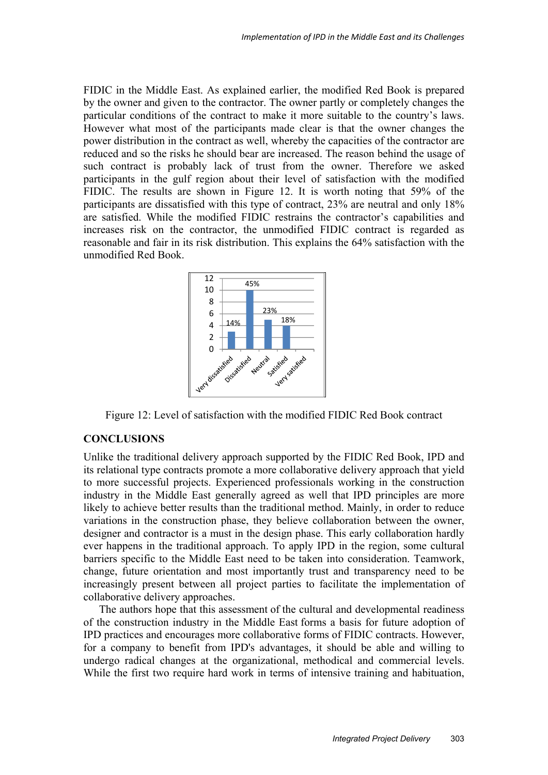FIDIC in the Middle East. As explained earlier, the modified Red Book is prepared by the owner and given to the contractor. The owner partly or completely changes the particular conditions of the contract to make it more suitable to the country's laws. However what most of the participants made clear is that the owner changes the power distribution in the contract as well, whereby the capacities of the contractor are reduced and so the risks he should bear are increased. The reason behind the usage of such contract is probably lack of trust from the owner. Therefore we asked participants in the gulf region about their level of satisfaction with the modified FIDIC. The results are shown in Figure 12. It is worth noting that 59% of the participants are dissatisfied with this type of contract, 23% are neutral and only 18% are satisfied. While the modified FIDIC restrains the contractor's capabilities and increases risk on the contractor, the unmodified FIDIC contract is regarded as reasonable and fair in its risk distribution. This explains the 64% satisfaction with the unmodified Red Book.



Figure 12: Level of satisfaction with the modified FIDIC Red Book contract

#### **CONCLUSIONS**

Unlike the traditional delivery approach supported by the FIDIC Red Book, IPD and its relational type contracts promote a more collaborative delivery approach that yield to more successful projects. Experienced professionals working in the construction industry in the Middle East generally agreed as well that IPD principles are more likely to achieve better results than the traditional method. Mainly, in order to reduce variations in the construction phase, they believe collaboration between the owner, designer and contractor is a must in the design phase. This early collaboration hardly ever happens in the traditional approach. To apply IPD in the region, some cultural barriers specific to the Middle East need to be taken into consideration. Teamwork, change, future orientation and most importantly trust and transparency need to be increasingly present between all project parties to facilitate the implementation of collaborative delivery approaches.

The authors hope that this assessment of the cultural and developmental readiness of the construction industry in the Middle East forms a basis for future adoption of IPD practices and encourages more collaborative forms of FIDIC contracts. However, for a company to benefit from IPD's advantages, it should be able and willing to undergo radical changes at the organizational, methodical and commercial levels. While the first two require hard work in terms of intensive training and habituation,